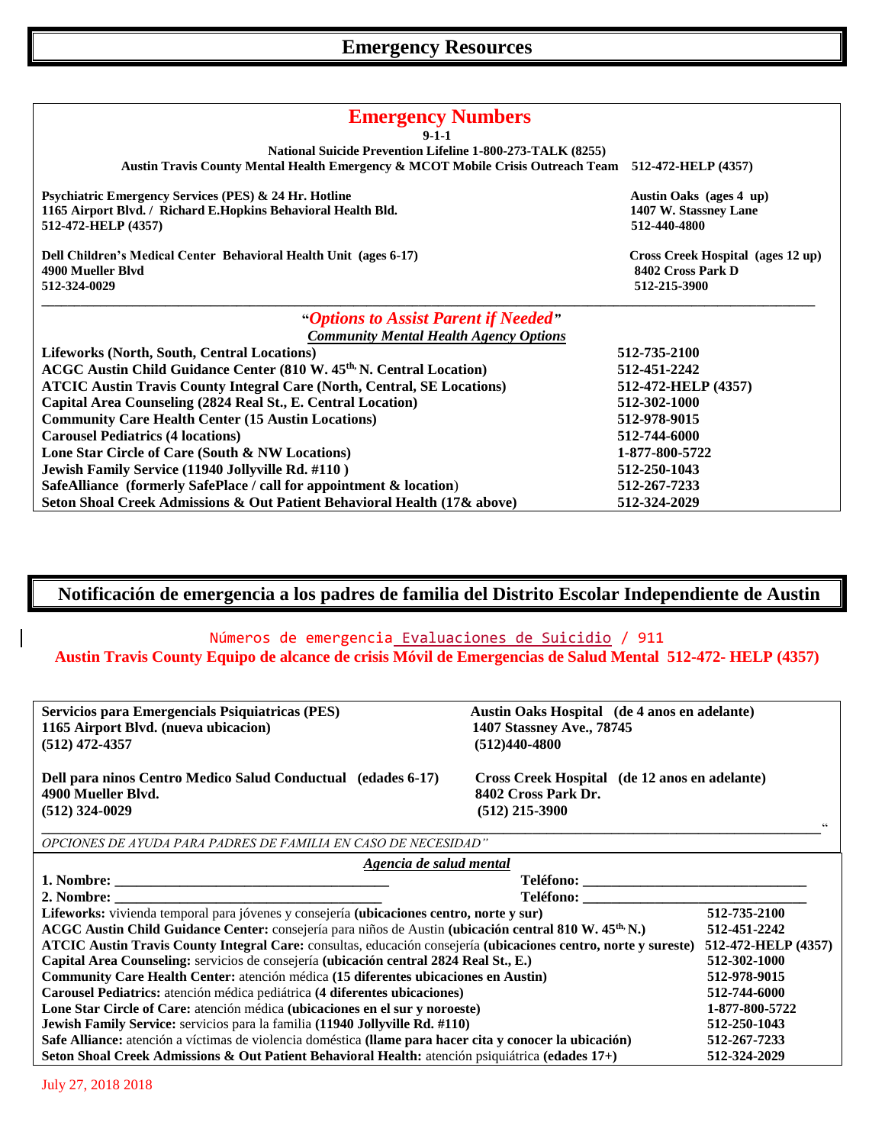| <b>Emergency Numbers</b><br>$9 - 1 - 1$                                                             |                                                        |  |
|-----------------------------------------------------------------------------------------------------|--------------------------------------------------------|--|
| National Suicide Prevention Lifeline 1-800-273-TALK (8255)                                          |                                                        |  |
| Austin Travis County Mental Health Emergency & MCOT Mobile Crisis Outreach Team 512-472-HELP (4357) |                                                        |  |
| Psychiatric Emergency Services (PES) & 24 Hr. Hotline                                               | Austin Oaks (ages 4 up)                                |  |
| 1165 Airport Blvd. / Richard E.Hopkins Behavioral Health Bld.<br>1407 W. Stassney Lane              |                                                        |  |
| 512-472-HELP (4357)                                                                                 | 512-440-4800                                           |  |
| Dell Children's Medical Center Behavioral Health Unit (ages 6-17)<br>4900 Mueller Blyd              | Cross Creek Hospital (ages 12 up)<br>8402 Cross Park D |  |
| 512-324-0029                                                                                        | 512-215-3900                                           |  |
| "Options to Assist Parent if Needed"                                                                |                                                        |  |
| <b>Community Mental Health Agency Options</b>                                                       |                                                        |  |
| Lifeworks (North, South, Central Locations)                                                         | 512-735-2100                                           |  |
| ACGC Austin Child Guidance Center (810 W. 45 <sup>th,</sup> N. Central Location)                    | 512-451-2242                                           |  |
| <b>ATCIC Austin Travis County Integral Care (North, Central, SE Locations)</b>                      | 512-472-HELP (4357)                                    |  |
| Capital Area Counseling (2824 Real St., E. Central Location)                                        | 512-302-1000                                           |  |
| <b>Community Care Health Center (15 Austin Locations)</b>                                           | 512-978-9015                                           |  |
| <b>Carousel Pediatrics (4 locations)</b>                                                            | 512-744-6000                                           |  |
| Lone Star Circle of Care (South & NW Locations)                                                     | 1-877-800-5722                                         |  |
| Jewish Family Service (11940 Jollyville Rd. #110)                                                   | 512-250-1043                                           |  |
| SafeAlliance (formerly SafePlace / call for appointment & location)                                 | 512-267-7233                                           |  |
| Seton Shoal Creek Admissions & Out Patient Behavioral Health (17& above)                            | 512-324-2029                                           |  |

# **Notificación de emergencia a los padres de familia del Distrito Escolar Independiente de Austin**

# Números de emergencia Evaluaciones de Suicidio / 911 **Austin Travis County Equipo de alcance de crisis Móvil de Emergencias de Salud Mental 512-472- HELP (4357)**

| Servicios para Emergencials Psiquiatricas (PES)                                                                    | Austin Oaks Hospital (de 4 anos en adelante)                                             |                     |
|--------------------------------------------------------------------------------------------------------------------|------------------------------------------------------------------------------------------|---------------------|
| 1165 Airport Blvd. (nueva ubicacion)                                                                               | 1407 Stassney Ave., 78745                                                                |                     |
| $(512)$ 472-4357                                                                                                   | $(512)440-4800$                                                                          |                     |
| Dell para ninos Centro Medico Salud Conductual (edades 6-17)<br>4900 Mueller Blyd.<br>$(512)$ 324-0029             | Cross Creek Hospital (de 12 anos en adelante)<br>8402 Cross Park Dr.<br>$(512)$ 215-3900 | 66                  |
| OPCIONES DE AYUDA PARA PADRES DE FAMILIA EN CASO DE NECESIDAD"                                                     |                                                                                          |                     |
| Agencia de salud mental                                                                                            |                                                                                          |                     |
|                                                                                                                    |                                                                                          |                     |
|                                                                                                                    |                                                                                          |                     |
| Lifeworks: vivienda temporal para jóvenes y consejería (ubicaciones centro, norte y sur)                           |                                                                                          | 512-735-2100        |
| ACGC Austin Child Guidance Center: consejería para niños de Austin (ubicación central 810 W. 45 <sup>th,</sup> N.) |                                                                                          | 512-451-2242        |
| ATCIC Austin Travis County Integral Care: consultas, educación consejería (ubicaciones centro, norte y sureste)    |                                                                                          | 512-472-HELP (4357) |
| Capital Area Counseling: servicios de consejería (ubicación central 2824 Real St., E.)                             |                                                                                          | 512-302-1000        |
| Community Care Health Center: atención médica (15 diferentes ubicaciones en Austin)                                |                                                                                          | 512-978-9015        |
| Carousel Pediatrics: atención médica pediátrica (4 diferentes ubicaciones)                                         |                                                                                          | 512-744-6000        |
| Lone Star Circle of Care: atención médica (ubicaciones en el sur y noroeste)                                       |                                                                                          | 1-877-800-5722      |
| <b>Jewish Family Service:</b> servicios para la familia (11940 Jollyville Rd. #110)                                |                                                                                          | 512-250-1043        |
| Safe Alliance: atención a víctimas de violencia doméstica (llame para hacer cita y conocer la ubicación)           |                                                                                          | 512-267-7233        |
| Seton Shoal Creek Admissions & Out Patient Behavioral Health: atención psiquiátrica (edades $17+$ )                |                                                                                          | 512-324-2029        |